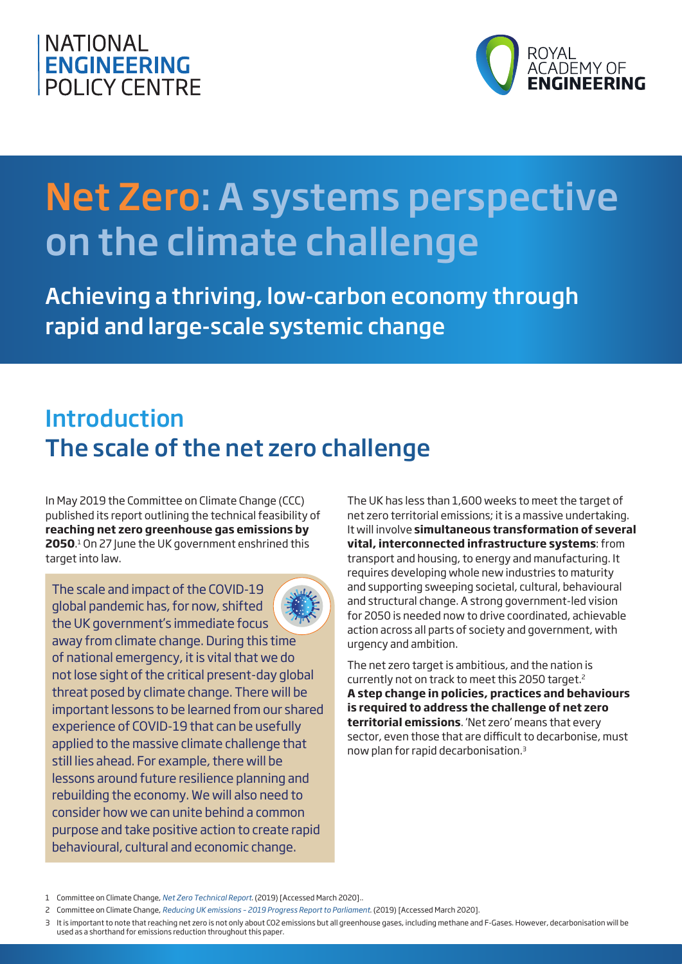



# Net Zero: A systems perspective on the climate challenge

Achieving a thriving, low-carbon economy through rapid and large-scale systemic change

### Introduction The scale of the net zero challenge

In May 2019 the Committee on Climate Change (CCC) published its report outlining the technical feasibility of **reaching net zero greenhouse gas emissions by 2050**. 1 On 27 June the UK government enshrined this target into law.

The scale and impact of the COVID-19 global pandemic has, for now, shifted the UK government's immediate focus away from climate change. During this time of national emergency, it is vital that we do not lose sight of the critical present-day global threat posed by climate change. There will be important lessons to be learned from our shared experience of COVID-19 that can be usefully applied to the massive climate challenge that still lies ahead. For example, there will be lessons around future resilience planning and rebuilding the economy. We will also need to consider how we can unite behind a common purpose and take positive action to create rapid behavioural, cultural and economic change.

The UK has less than 1,600 weeks to meet the target of net zero territorial emissions; it is a massive undertaking. It will involve **simultaneous transformation of several vital, interconnected infrastructure systems**: from transport and housing, to energy and manufacturing. It requires developing whole new industries to maturity and supporting sweeping societal, cultural, behavioural and structural change. A strong government-led vision for 2050 is needed now to drive coordinated, achievable action across all parts of society and government, with urgency and ambition.

The net zero target is ambitious, and the nation is currently not on track to meet this 2050 target.2 **A step change in policies, practices and behaviours is required to address the challenge of net zero territorial emissions**. 'Net zero' means that every sector, even those that are difficult to decarbonise, must now plan for rapid decarbonisation.3

<sup>1</sup> Committee on Climate Change, *[Net Zero Technical Report](https://www.theccc.org.uk/wp-content/uploads/2019/05/Net-Zero-Technical-report-CCC.pdf)*. (2019) [Accessed March 2020]..

<sup>2</sup> Committee on Climate Change, *[Reducing UK emissions – 2019 Progress Report to Parliament](https://www.theccc.org.uk/publication/reducing-uk-emissions-2019-progress-report-to-parliament/)*. (2019) [Accessed March 2020].

<sup>3</sup> It is important to note that reaching net zero is not only about CO2 emissions but all greenhouse gases, including methane and F-Gases. However, decarbonisation will be used as a shorthand for emissions reduction throughout this paper.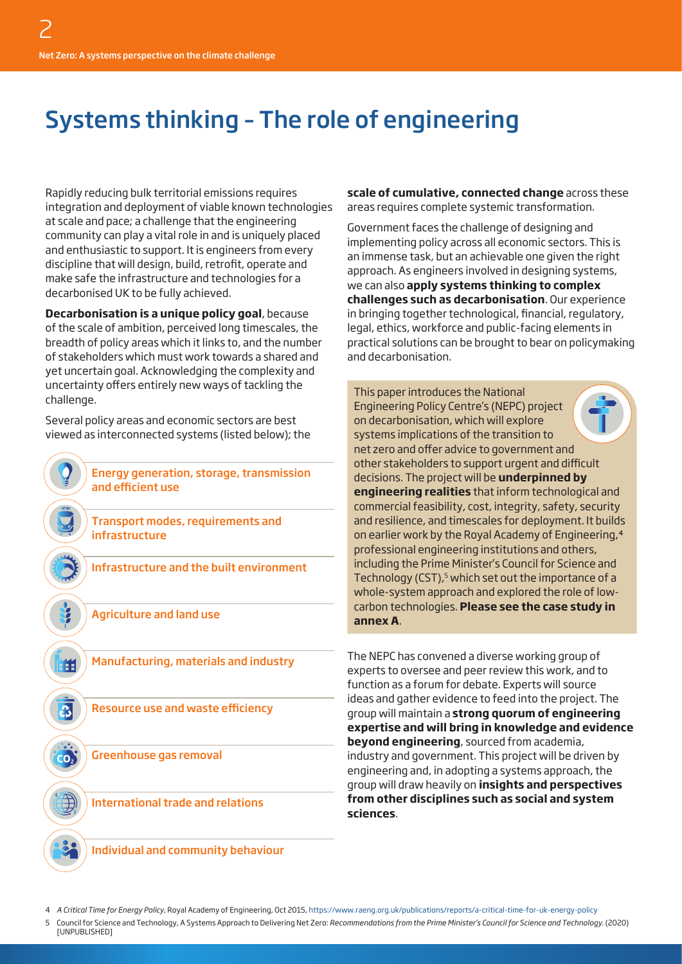### Systems thinking – The role of engineering

Rapidly reducing bulk territorial emissions requires integration and deployment of viable known technologies at scale and pace; a challenge that the engineering community can play a vital role in and is uniquely placed and enthusiastic to support. It is engineers from every discipline that will design, build, retrofit, operate and make safe the infrastructure and technologies for a decarbonised UK to be fully achieved.

**Decarbonisation is a unique policy goal**, because of the scale of ambition, perceived long timescales, the breadth of policy areas which it links to, and the number of stakeholders which must work towards a shared and yet uncertain goal. Acknowledging the complexity and uncertainty offers entirely new ways of tackling the challenge.

Several policy areas and economic sectors are best viewed as interconnected systems (listed below); the

> Energy generation, storage, transmission and efficient use

Transport modes, requirements and infrastructure

Infrastructure and the built environment

Agriculture and land use

ffi

 $\overline{\mathbf{r}}$ 

 $\mathsf{co}_i$ 

Manufacturing, materials and industry

Resource use and waste efficiency

Greenhouse gas removal

International trade and relations

**scale of cumulative, connected change** across these areas requires complete systemic transformation.

Government faces the challenge of designing and implementing policy across all economic sectors. This is an immense task, but an achievable one given the right approach. As engineers involved in designing systems, we can also **apply systems thinking to complex challenges such as decarbonisation**. Our experience in bringing together technological, financial, regulatory, legal, ethics, workforce and public-facing elements in practical solutions can be brought to bear on policymaking and decarbonisation.

This paper introduces the National Engineering Policy Centre's (NEPC) project on decarbonisation, which will explore systems implications of the transition to net zero and offer advice to government and other stakeholders to support urgent and difficult decisions. The project will be **underpinned by engineering realities** that inform technological and commercial feasibility, cost, integrity, safety, security and resilience, and timescales for deployment. It builds on earlier work by the Royal Academy of Engineering,4 professional engineering institutions and others, including the Prime Minister's Council for Science and Technology (CST), $5$  which set out the importance of a whole-system approach and explored the role of lowcarbon technologies. **Please see the case study in annex A**.

The NEPC has convened a diverse working group of experts to oversee and peer review this work, and to function as a forum for debate. Experts will source ideas and gather evidence to feed into the project. The group will maintain a **strong quorum of engineering expertise and will bring in knowledge and evidence beyond engineering**, sourced from academia, industry and government. This project will be driven by engineering and, in adopting a systems approach, the group will draw heavily on **insights and perspectives from other disciplines such as social and system sciences**.

Individual and community behaviour

4 *A Critical Time for Energy Policy*, Royal Academy of Engineering, Oct 2015, <https://www.raeng.org.uk/publications/reports/a-critical-time-for-uk-energy-policy>

5 Council for Science and Technology, A Systems Approach to Delivering Net Zero: *Recommendations from the Prime Minister's Council for Science and Technology*. (2020) **[UNPUBLISHED]**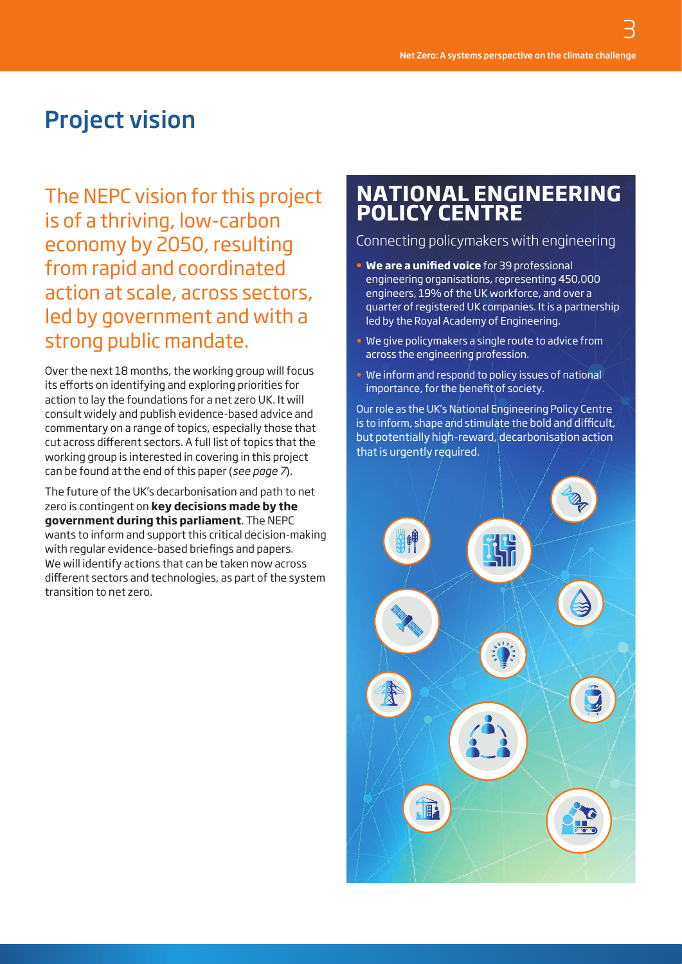## Project vision

The NEPC vision for this project is of a thriving, low-carbon economy by 2050, resulting from rapid and coordinated action at scale, across sectors, led by government and with a strong public mandate.

Over the next 18 months, the working group will focus its efforts on identifying and exploring priorities for action to lay the foundations for a net zero UK. It will consult widely and publish evidence-based advice and commentary on a range of topics, especially those that cut across different sectors. A full list of topics that the working group is interested in covering in this project can be found at the end of this paper (*see page 7*).

The future of the UK's decarbonisation and path to net zero is contingent on **key decisions made by the government during this parliament**. The NEPC wants to inform and support this critical decision-making with regular evidence-based briefings and papers. We will identify actions that can be taken now across different sectors and technologies, as part of the system transition to net zero.

### **NATIONAL ENGINEERING POLICY CENTRE**

#### Connecting policymakers with engineering

- **• We are a unified voice** for 39 professional engineering organisations, representing 450,000 engineers, 19% of the UK workforce, and over a quarter of registered UK companies. It is a partnership led by the Royal Academy of Engineering.
- We give policymakers a single route to advice from across the engineering profession.
- We inform and respond to policy issues of national importance, for the benefit of society.

Our role as the UK's National Engineering Policy Centre is to inform, shape and stimulate the bold and difficult, but potentially high-reward, decarbonisation action that is urgently required.

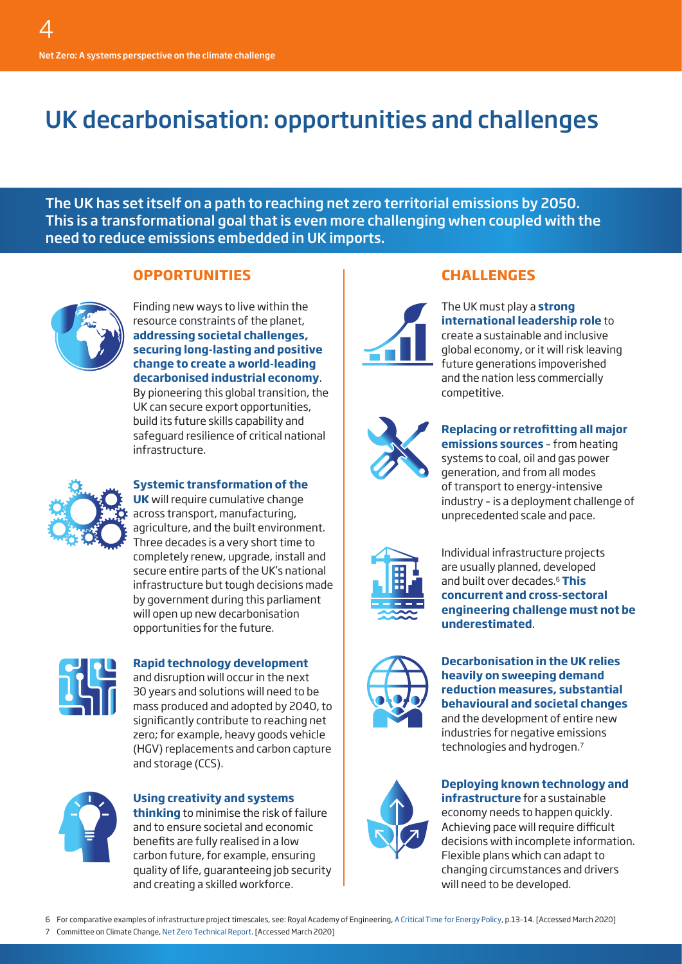### UK decarbonisation: opportunities and challenges

The UK has set itself on a path to reaching net zero territorial emissions by 2050. This is a transformational goal that is even more challenging when coupled with the need to reduce emissions embedded in UK imports.

#### **OPPORTUNITIES**



Finding new ways to live within the resource constraints of the planet, **addressing societal challenges, securing long-lasting and positive change to create a world-leading decarbonised industrial economy**. By pioneering this global transition, the UK can secure export opportunities, build its future skills capability and safeguard resilience of critical national infrastructure.



#### **Systemic transformation of the**

**UK** will require cumulative change across transport, manufacturing, agriculture, and the built environment. Three decades is a very short time to completely renew, upgrade, install and secure entire parts of the UK's national infrastructure but tough decisions made by government during this parliament will open up new decarbonisation opportunities for the future.



#### **Rapid technology development**

and disruption will occur in the next 30 years and solutions will need to be mass produced and adopted by 2040, to significantly contribute to reaching net zero; for example, heavy goods vehicle (HGV) replacements and carbon capture and storage (CCS).



#### **Using creativity and systems thinking** to minimise the risk of failure and to ensure societal and economic benefits are fully realised in a low carbon future, for example, ensuring quality of life, guaranteeing job security and creating a skilled workforce.

#### **CHALLENGES**



The UK must play a **strong international leadership role** to create a sustainable and inclusive global economy, or it will risk leaving future generations impoverished and the nation less commercially competitive.



**Replacing or retrofitting all major emissions sources** – from heating systems to coal, oil and gas power generation, and from all modes of transport to energy-intensive industry – is a deployment challenge of unprecedented scale and pace.



Individual infrastructure projects are usually planned, developed and built over decades.6 **This concurrent and cross-sectoral engineering challenge must not be underestimated**.



#### **Decarbonisation in the UK relies heavily on sweeping demand reduction measures, substantial behavioural and societal changes** and the development of entire new industries for negative emissions



**Deploying known technology and** 

technologies and hydrogen.7

**infrastructure** for a sustainable economy needs to happen quickly. Achieving pace will require difficult decisions with incomplete information. Flexible plans which can adapt to changing circumstances and drivers will need to be developed.

6 For comparative examples of infrastructure project timescales, see: Royal Academy of Engineering, [A Critical Time for Energy Policy,](https://www.raeng.org.uk/publications/reports/a-critical-time-for-uk-energy-policy) p.13–14. [Accessed March 2020] 7 Committee on Climate Change, [Net Zero Technical Report.](https://www.theccc.org.uk/wp-content/uploads/2019/05/Net-Zero-Technical-report-CCC.pdf) [Accessed March 2020]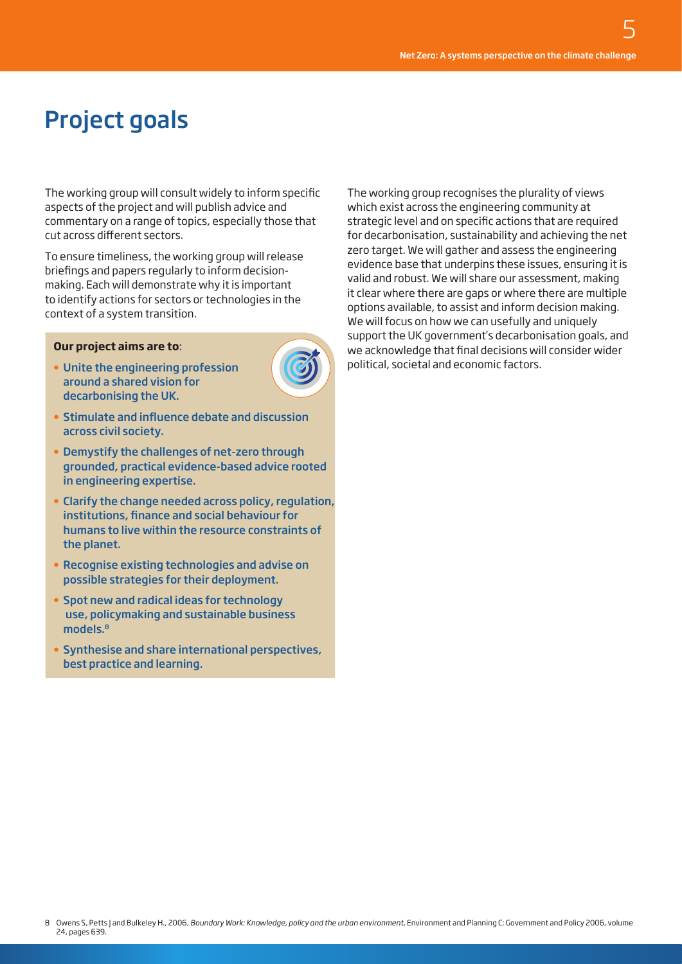## Project goals

The working group will consult widely to inform specific aspects of the project and will publish advice and commentary on a range of topics, especially those that cut across different sectors.

To ensure timeliness, the working group will release briefings and papers regularly to inform decisionmaking. Each will demonstrate why it is important to identify actions for sectors or technologies in the context of a system transition.

#### **Our project aims are to**:

**•** Unite the engineering profession around a shared vision for decarbonising the UK.



- **•** Stimulate and influence debate and discussion across civil society.
- **•** Demystify the challenges of net-zero through grounded, practical evidence-based advice rooted in engineering expertise.
- **•** Clarify the change needed across policy, regulation, institutions, finance and social behaviour for humans to live within the resource constraints of the planet.
- **•** Recognise existing technologies and advise on possible strategies for their deployment.
- **•** Spot new and radical ideas for technology use, policymaking and sustainable business models.8
- **•** Synthesise and share international perspectives, best practice and learning.

The working group recognises the plurality of views which exist across the engineering community at strategic level and on specific actions that are required for decarbonisation, sustainability and achieving the net zero target. We will gather and assess the engineering evidence base that underpins these issues, ensuring it is valid and robust. We will share our assessment, making it clear where there are gaps or where there are multiple options available, to assist and inform decision making. We will focus on how we can usefully and uniquely support the UK government's decarbonisation goals, and we acknowledge that final decisions will consider wider political, societal and economic factors.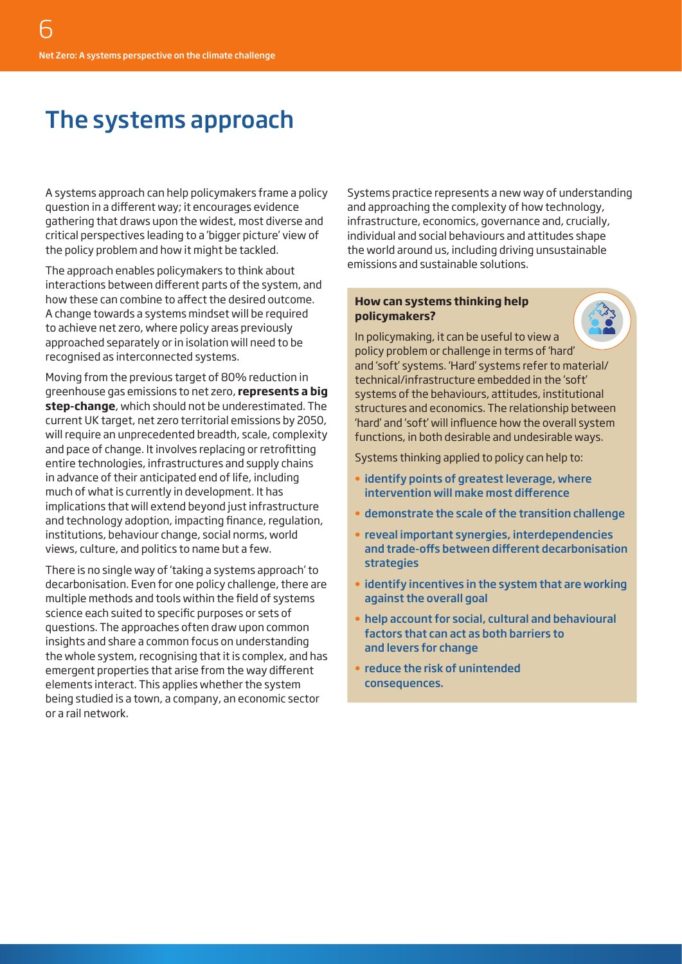### The systems approach

A systems approach can help policymakers frame a policy question in a different way; it encourages evidence gathering that draws upon the widest, most diverse and critical perspectives leading to a 'bigger picture' view of the policy problem and how it might be tackled.

The approach enables policymakers to think about interactions between different parts of the system, and how these can combine to affect the desired outcome. A change towards a systems mindset will be required to achieve net zero, where policy areas previously approached separately or in isolation will need to be recognised as interconnected systems.

Moving from the previous target of 80% reduction in greenhouse gas emissions to net zero, **represents a big step-change**, which should not be underestimated. The current UK target, net zero territorial emissions by 2050, will require an unprecedented breadth, scale, complexity and pace of change. It involves replacing or retrofitting entire technologies, infrastructures and supply chains in advance of their anticipated end of life, including much of what is currently in development. It has implications that will extend beyond just infrastructure and technology adoption, impacting finance, regulation, institutions, behaviour change, social norms, world views, culture, and politics to name but a few.

There is no single way of 'taking a systems approach' to decarbonisation. Even for one policy challenge, there are multiple methods and tools within the field of systems science each suited to specific purposes or sets of questions. The approaches often draw upon common insights and share a common focus on understanding the whole system, recognising that it is complex, and has emergent properties that arise from the way different elements interact. This applies whether the system being studied is a town, a company, an economic sector or a rail network.

Systems practice represents a new way of understanding and approaching the complexity of how technology, infrastructure, economics, governance and, crucially, individual and social behaviours and attitudes shape the world around us, including driving unsustainable emissions and sustainable solutions.

#### **How can systems thinking help policymakers?**

In policymaking, it can be useful to view a policy problem or challenge in terms of 'hard' and 'soft' systems. 'Hard' systems refer to material/ technical/infrastructure embedded in the 'soft' systems of the behaviours, attitudes, institutional structures and economics. The relationship between 'hard' and 'soft' will influence how the overall system functions, in both desirable and undesirable ways.

Systems thinking applied to policy can help to:

- **•** identify points of greatest leverage, where intervention will make most difference
- **•** demonstrate the scale of the transition challenge
- **•** reveal important synergies, interdependencies and trade-offs between different decarbonisation strategies
- **•** identify incentives in the system that are working against the overall goal
- **•** help account for social, cultural and behavioural factors that can act as both barriers to and levers for change
- **•** reduce the risk of unintended consequences.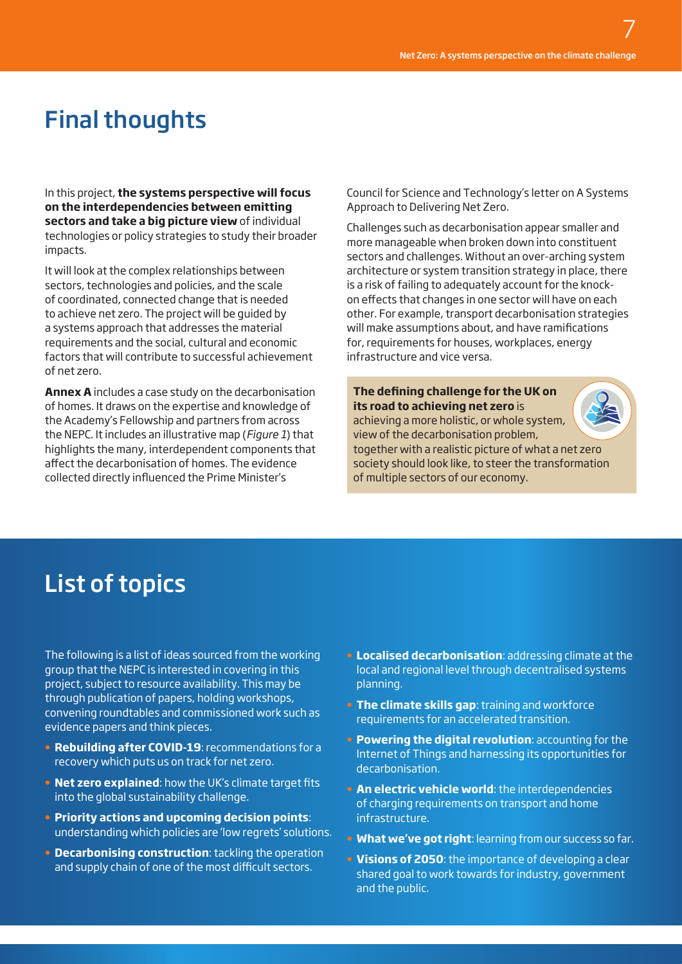# Final thoughts

In this project, **the systems perspective will focus on the interdependencies between emitting sectors and take a big picture view** of individual technologies or policy strategies to study their broader impacts.

It will look at the complex relationships between sectors, technologies and policies, and the scale of coordinated, connected change that is needed to achieve net zero. The project will be guided by a systems approach that addresses the material requirements and the social, cultural and economic factors that will contribute to successful achievement of net zero.

**Annex A** includes a case study on the decarbonisation of homes. It draws on the expertise and knowledge of the Academy's Fellowship and partners from across the NEPC. It includes an illustrative map (*Figure 1*) that highlights the many, interdependent components that affect the decarbonisation of homes. The evidence collected directly influenced the Prime Minister's

Council for Science and Technology's letter on A Systems Approach to Delivering Net Zero.

Challenges such as decarbonisation appear smaller and more manageable when broken down into constituent sectors and challenges. Without an over-arching system architecture or system transition strategy in place, there is a risk of failing to adequately account for the knockon effects that changes in one sector will have on each other. For example, transport decarbonisation strategies will make assumptions about, and have ramifications for, requirements for houses, workplaces, energy infrastructure and vice versa.

**The defining challenge for the UK on its road to achieving net zero** is achieving a more holistic, or whole system, view of the decarbonisation problem, together with a realistic picture of what a net zero society should look like, to steer the transformation of multiple sectors of our economy.



### List of topics

The following is a list of ideas sourced from the working group that the NEPC is interested in covering in this project, subject to resource availability. This may be through publication of papers, holding workshops, convening roundtables and commissioned work such as evidence papers and think pieces.

- **• Rebuilding after COVID-19**: recommendations for a recovery which puts us on track for net zero.
- **• Net zero explained**: how the UK's climate target fits into the global sustainability challenge.
- **• Priority actions and upcoming decision points**: understanding which policies are 'low regrets' solutions.
- **• Decarbonising construction**: tackling the operation and supply chain of one of the most difficult sectors.
- **• Localised decarbonisation**: addressing climate at the local and regional level through decentralised systems planning.
- **• The climate skills gap**: training and workforce requirements for an accelerated transition.
- **• Powering the digital revolution**: accounting for the Internet of Things and harnessing its opportunities for decarbonisation.
- **• An electric vehicle world**: the interdependencies of charging requirements on transport and home infrastructure.
- **• What we've got right**: learning from our success so far.
- **• Visions of 2050**: the importance of developing a clear shared goal to work towards for industry, government and the public.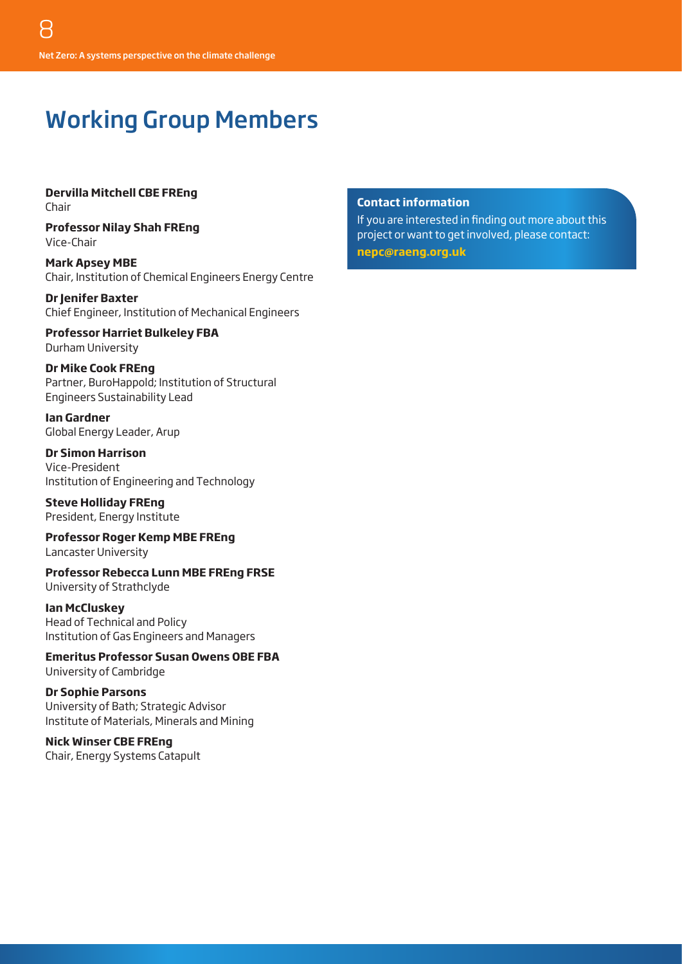### Working Group Members

**Dervilla Mitchell CBE FREng** Chair

**Professor Nilay Shah FREng** Vice-Chair

**Mark Apsey MBE** Chair, Institution of Chemical Engineers Energy Centre

**Dr Jenifer Baxter** Chief Engineer, Institution of Mechanical Engineers

**Professor Harriet Bulkeley FBA** Durham University

**Dr Mike Cook FREng** Partner, BuroHappold; Institution of Structural Engineers Sustainability Lead

**Ian Gardner** Global Energy Leader, Arup

**Dr Simon Harrison** Vice-President Institution of Engineering and Technology

**Steve Holliday FREng** President, Energy Institute

**Professor Roger Kemp MBE FREng** Lancaster University

**Professor Rebecca Lunn MBE FREng FRSE** University of Strathclyde

**Ian McCluskey**  Head of Technical and Policy Institution of Gas Engineers and Managers

**Emeritus Professor Susan Owens OBE FBA** University of Cambridge

**Dr Sophie Parsons** University of Bath; Strategic Advisor Institute of Materials, Minerals and Mining

**Nick Winser CBE FREng** Chair, Energy Systems Catapult

#### **Contact information**

If you are interested in finding out more about this project or want to get involved, please contact:

**[nepc@raeng.org.uk](mailto:nepc%40raeng.org.uk?subject=)**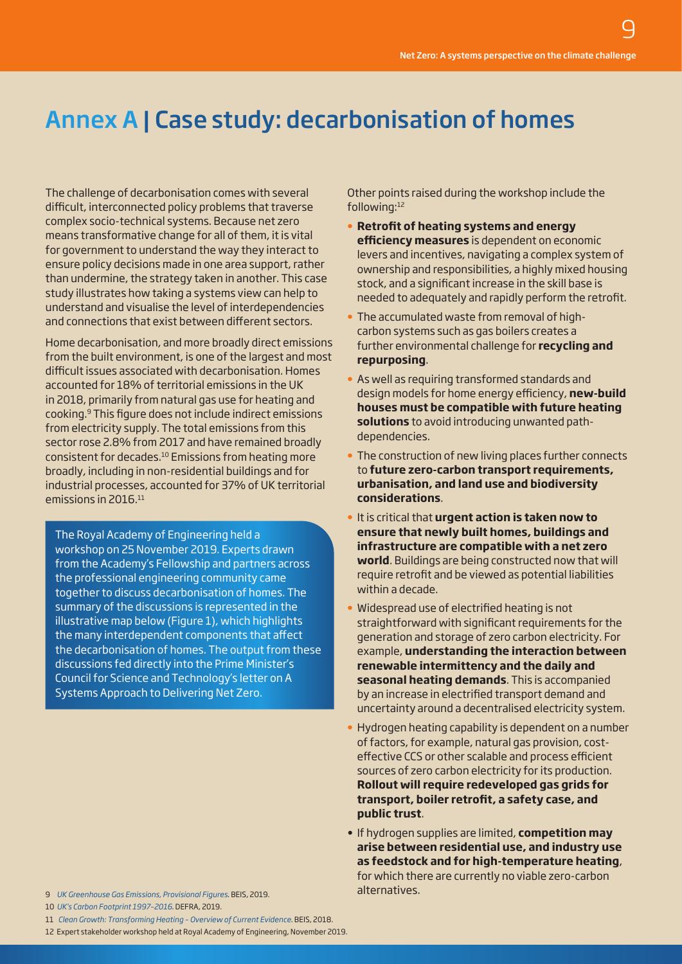### Annex A | Case study: decarbonisation of homes

The challenge of decarbonisation comes with several difficult, interconnected policy problems that traverse complex socio-technical systems. Because net zero means transformative change for all of them, it is vital for government to understand the way they interact to ensure policy decisions made in one area support, rather than undermine, the strategy taken in another. This case study illustrates how taking a systems view can help to understand and visualise the level of interdependencies and connections that exist between different sectors.

Home decarbonisation, and more broadly direct emissions from the built environment, is one of the largest and most difficult issues associated with decarbonisation. Homes accounted for 18% of territorial emissions in the UK in 2018, primarily from natural gas use for heating and cooking.9 This figure does not include indirect emissions from electricity supply. The total emissions from this sector rose 2.8% from 2017 and have remained broadly consistent for decades.10 Emissions from heating more broadly, including in non-residential buildings and for industrial processes, accounted for 37% of UK territorial emissions in 2016.<sup>11</sup>

The Royal Academy of Engineering held a workshop on 25 November 2019. Experts drawn from the Academy's Fellowship and partners across the professional engineering community came together to discuss decarbonisation of homes. The summary of the discussions is represented in the illustrative map below (Figure 1), which highlights the many interdependent components that affect the decarbonisation of homes. The output from these discussions fed directly into the Prime Minister's Council for Science and Technology's letter on A Systems Approach to Delivering Net Zero.

9 *[UK Greenhouse Gas Emissions, Provisional Figures](http://UK Greenhouse Gas Emissions, Provisional Figures)*. BEIS, 2019. 10 *[UK's Carbon Footprint 1997–2016](https://assets.publishing.service.gov.uk/government/uploads/system/uploads/attachment_data/file/879310/Consumption_emissions_March_20_v5.pdf)*. DEFRA, 2019.

11 *[Clean Growth: Transforming Heating – Overview of Current Evidence](https://assets.publishing.service.gov.uk/government/uploads/system/uploads/attachment_data/file/766109/decarbonising-heating.pdf)*. BEIS, 2018.

12 Expert stakeholder workshop held at Royal Academy of Engineering, November 2019.

Other points raised during the workshop include the following:<sup>12</sup>

- **• Retrofit of heating systems and energy efficiency measures** is dependent on economic levers and incentives, navigating a complex system of ownership and responsibilities, a highly mixed housing stock, and a significant increase in the skill base is needed to adequately and rapidly perform the retrofit.
- **•** The accumulated waste from removal of highcarbon systems such as gas boilers creates a further environmental challenge for **recycling and repurposing**.
- **•** As well as requiring transformed standards and design models for home energy efficiency, **new-build houses must be compatible with future heating solutions** to avoid introducing unwanted pathdependencies.
- **•** The construction of new living places further connects to **future zero-carbon transport requirements, urbanisation, and land use and biodiversity considerations**.
- **•** It is critical that **urgent action is taken now to ensure that newly built homes, buildings and infrastructure are compatible with a net zero world**. Buildings are being constructed now that will require retrofit and be viewed as potential liabilities within a decade.
- **•** Widespread use of electrified heating is not straightforward with significant requirements for the generation and storage of zero carbon electricity. For example, **understanding the interaction between renewable intermittency and the daily and seasonal heating demands**. This is accompanied by an increase in electrified transport demand and uncertainty around a decentralised electricity system.
- **•** Hydrogen heating capability is dependent on a number of factors, for example, natural gas provision, costeffective CCS or other scalable and process efficient sources of zero carbon electricity for its production. **Rollout will require redeveloped gas grids for transport, boiler retrofit, a safety case, and public trust**.
- If hydrogen supplies are limited, **competition may arise between residential use, and industry use as feedstock and for high-temperature heating**, for which there are currently no viable zero-carbon alternatives.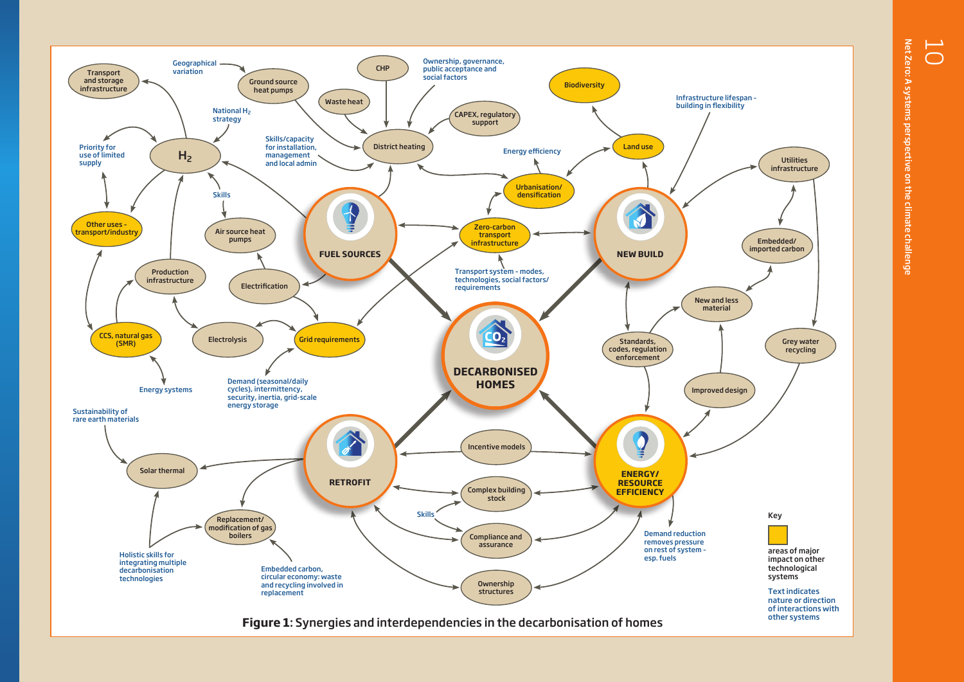Net Zero: A systems perspective on the climate challenge Net Zero: A systems perspective on the climate challenge

 $\overline{\bigcap}$ 

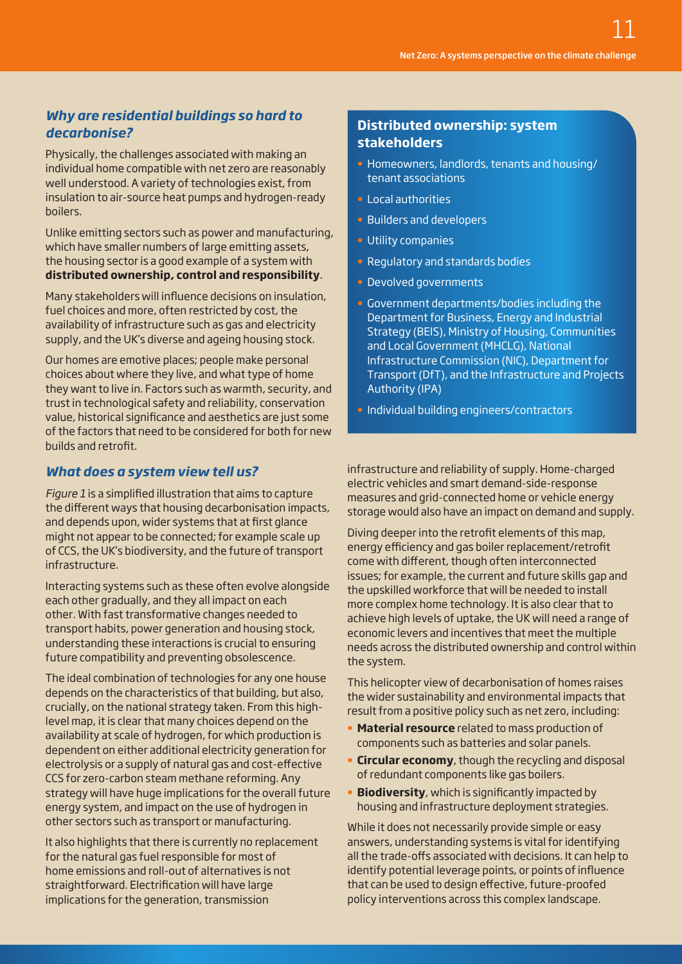#### *Why are residential buildings so hard to decarbonise?*

Physically, the challenges associated with making an individual home compatible with net zero are reasonably well understood. A variety of technologies exist, from insulation to air-source heat pumps and hydrogen-ready boilers.

Unlike emitting sectors such as power and manufacturing, which have smaller numbers of large emitting assets, the housing sector is a good example of a system with **distributed ownership, control and responsibility**.

Many stakeholders will influence decisions on insulation, fuel choices and more, often restricted by cost, the availability of infrastructure such as gas and electricity supply, and the UK's diverse and ageing housing stock.

Our homes are emotive places; people make personal choices about where they live, and what type of home they want to live in. Factors such as warmth, security, and trust in technological safety and reliability, conservation value, historical significance and aesthetics are just some of the factors that need to be considered for both for new builds and retrofit.

#### *What does a system view tell us?*

*Figure 1* is a simplified illustration that aims to capture the different ways that housing decarbonisation impacts, and depends upon, wider systems that at first glance might not appear to be connected; for example scale up of CCS, the UK's biodiversity, and the future of transport infrastructure.

Interacting systems such as these often evolve alongside each other gradually, and they all impact on each other. With fast transformative changes needed to transport habits, power generation and housing stock, understanding these interactions is crucial to ensuring future compatibility and preventing obsolescence.

The ideal combination of technologies for any one house depends on the characteristics of that building, but also, crucially, on the national strategy taken. From this highlevel map, it is clear that many choices depend on the availability at scale of hydrogen, for which production is dependent on either additional electricity generation for electrolysis or a supply of natural gas and cost-effective CCS for zero-carbon steam methane reforming. Any strategy will have huge implications for the overall future energy system, and impact on the use of hydrogen in other sectors such as transport or manufacturing.

It also highlights that there is currently no replacement for the natural gas fuel responsible for most of home emissions and roll-out of alternatives is not straightforward. Electrification will have large implications for the generation, transmission

#### **Distributed ownership: system stakeholders**

- **•** Homeowners, landlords, tenants and housing/ tenant associations
- **•** Local authorities
- **•** Builders and developers
- **•** Utility companies
- **•** Regulatory and standards bodies
- **•** Devolved governments
- **•** Government departments/bodies including the Department for Business, Energy and Industrial Strategy (BEIS), Ministry of Housing, Communities and Local Government (MHCLG), National Infrastructure Commission (NIC), Department for Transport (DfT), and the Infrastructure and Projects Authority (IPA)
- **•** Individual building engineers/contractors

infrastructure and reliability of supply. Home-charged electric vehicles and smart demand-side-response measures and grid-connected home or vehicle energy storage would also have an impact on demand and supply.

Diving deeper into the retrofit elements of this map, energy efficiency and gas boiler replacement/retrofit come with different, though often interconnected issues; for example, the current and future skills gap and the upskilled workforce that will be needed to install more complex home technology. It is also clear that to achieve high levels of uptake, the UK will need a range of economic levers and incentives that meet the multiple needs across the distributed ownership and control within the system.

This helicopter view of decarbonisation of homes raises the wider sustainability and environmental impacts that result from a positive policy such as net zero, including:

- **• Material resource** related to mass production of components such as batteries and solar panels.
- **• Circular economy**, though the recycling and disposal of redundant components like gas boilers.
- **• Biodiversity**, which is significantly impacted by housing and infrastructure deployment strategies.

While it does not necessarily provide simple or easy answers, understanding systems is vital for identifying all the trade-offs associated with decisions. It can help to identify potential leverage points, or points of influence that can be used to design effective, future-proofed policy interventions across this complex landscape.